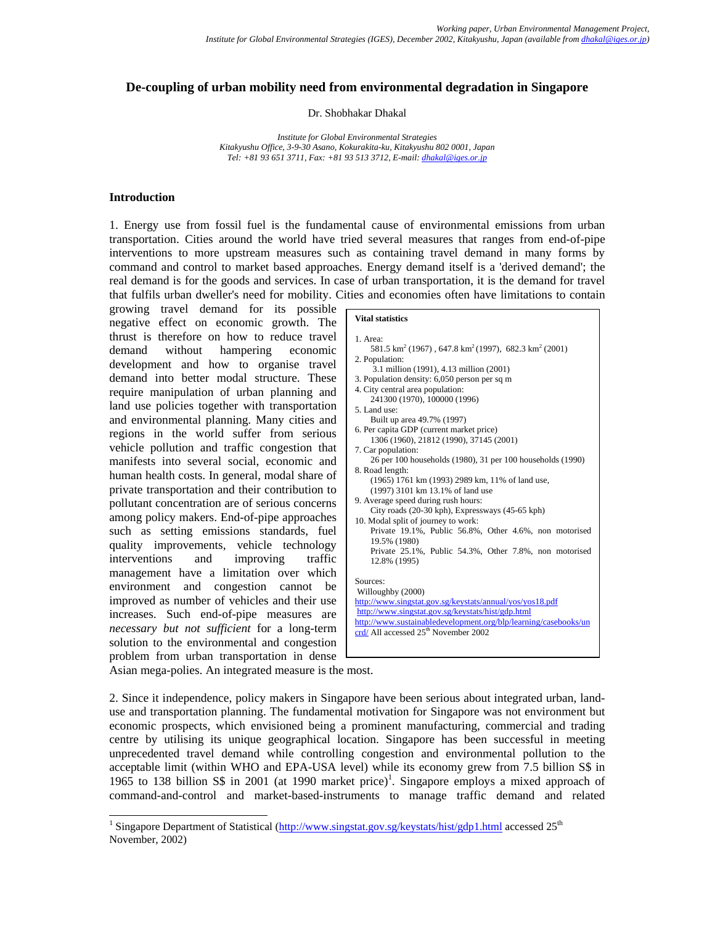# **De-coupling of urban mobility need from environmental degradation in Singapore**

Dr. Shobhakar Dhakal

*Institute for Global Environmental Strategies Kitakyushu Office, 3-9-30 Asano, Kokurakita-ku, Kitakyushu 802 0001, Japan Tel: +81 93 651 3711, Fax: +81 93 513 3712, E-mail: dhakal@iges.or.jp* 

#### **Introduction**

l

1. Energy use from fossil fuel is the fundamental cause of environmental emissions from urban transportation. Cities around the world have tried several measures that ranges from end-of-pipe interventions to more upstream measures such as containing travel demand in many forms by command and control to market based approaches. Energy demand itself is a 'derived demand'; the real demand is for the goods and services. In case of urban transportation, it is the demand for travel that fulfils urban dweller's need for mobility. Cities and economies often have limitations to contain

growing travel demand for its possible negative effect on economic growth. The thrust is therefore on how to reduce travel demand without hampering economic development and how to organise travel demand into better modal structure. These require manipulation of urban planning and land use policies together with transportation and environmental planning. Many cities and regions in the world suffer from serious vehicle pollution and traffic congestion that manifests into several social, economic and human health costs. In general, modal share of private transportation and their contribution to pollutant concentration are of serious concerns among policy makers. End-of-pipe approaches such as setting emissions standards, fuel quality improvements, vehicle technology interventions and improving traffic management have a limitation over which environment and congestion cannot be improved as number of vehicles and their use increases. Such end-of-pipe measures are *necessary but not sufficient* for a long-term solution to the environmental and congestion problem from urban transportation in dense

| <b>Vital statistics</b>                                                                              |
|------------------------------------------------------------------------------------------------------|
| 1. Area:<br>581.5 km <sup>2</sup> (1967), 647.8 km <sup>2</sup> (1997), 682.3 km <sup>2</sup> (2001) |
| 2. Population:                                                                                       |
| 3.1 million (1991), 4.13 million (2001)                                                              |
| 3. Population density: 6,050 person per sq m                                                         |
| 4. City central area population:<br>241300 (1970), 100000 (1996)                                     |
| 5. Land use:                                                                                         |
| Built up area 49.7% (1997)                                                                           |
| 6. Per capita GDP (current market price)                                                             |
| 1306 (1960), 21812 (1990), 37145 (2001)                                                              |
| 7. Car population:<br>26 per 100 households (1980), 31 per 100 households (1990)                     |
| 8. Road length:                                                                                      |
| (1965) 1761 km (1993) 2989 km, 11% of land use,                                                      |
| (1997) 3101 km 13.1% of land use                                                                     |
| 9. Average speed during rush hours:                                                                  |
| City roads (20-30 kph), Expressways (45-65 kph)                                                      |
| 10. Modal split of journey to work:                                                                  |
| Private 19.1%, Public 56.8%, Other 4.6%, non motorised<br>19.5% (1980)                               |
| Private 25.1%, Public 54.3%, Other 7.8%, non motorised                                               |
| 12.8% (1995)                                                                                         |
| Sources:                                                                                             |
| Willoughby (2000)                                                                                    |
| http://www.singstat.gov.sg/keystats/annual/yos/yos18.pdf                                             |
| http://www.singstat.gov.sg/keystats/hist/gdp.html                                                    |
| http://www.sustainabledevelopment.org/blp/learning/casebooks/un                                      |
| $\text{crd}/\text{All accessed } 25^{\text{th}}$ November 2002                                       |
|                                                                                                      |
|                                                                                                      |

Asian mega-polies. An integrated measure is the most.

2. Since it independence, policy makers in Singapore have been serious about integrated urban, landuse and transportation planning. The fundamental motivation for Singapore was not environment but economic prospects, which envisioned being a prominent manufacturing, commercial and trading centre by utilising its unique geographical location. Singapore has been successful in meeting unprecedented travel demand while controlling congestion and environmental pollution to the acceptable limit (within WHO and EPA-USA level) while its economy grew from 7.5 billion S\$ in 1965 to 138 billion S\$ in 2001 (at 1990 market price)<sup>1</sup>. Singapore employs a mixed approach of command-and-control and market-based-instruments to manage traffic demand and related

<sup>&</sup>lt;sup>1</sup> Singapore Department of Statistical ( $\frac{http://www.singstat.gov.sg/keystats/hist/gdp1.html}{http://www.singstat.gov.sg/keystats/hist/gdp1.html}$  accessed  $25<sup>th</sup>$ November, 2002)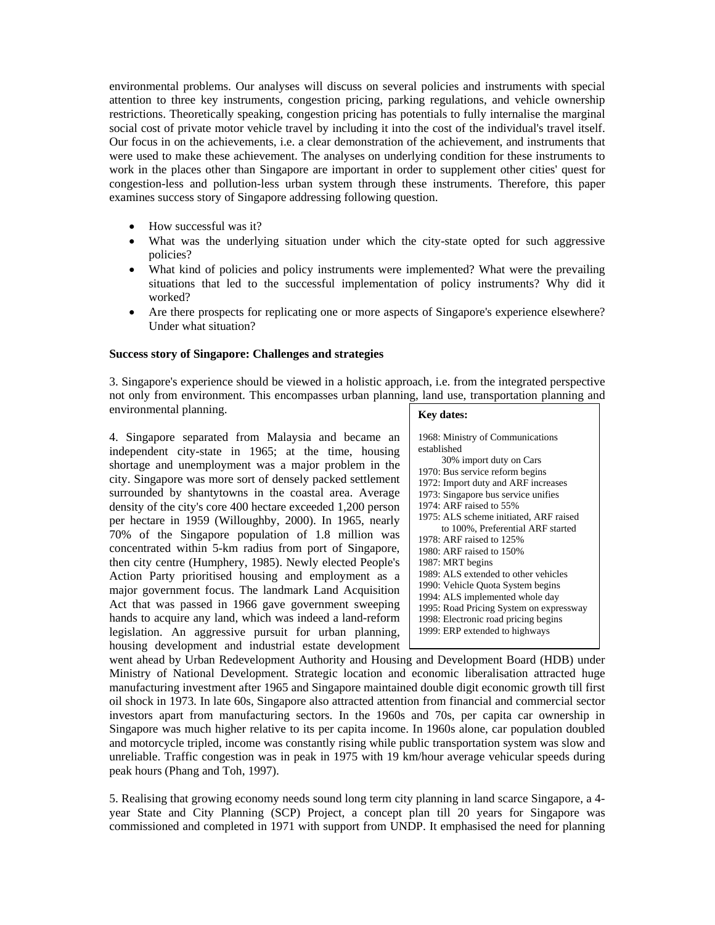environmental problems. Our analyses will discuss on several policies and instruments with special attention to three key instruments, congestion pricing, parking regulations, and vehicle ownership restrictions. Theoretically speaking, congestion pricing has potentials to fully internalise the marginal social cost of private motor vehicle travel by including it into the cost of the individual's travel itself. Our focus in on the achievements, i.e. a clear demonstration of the achievement, and instruments that were used to make these achievement. The analyses on underlying condition for these instruments to work in the places other than Singapore are important in order to supplement other cities' quest for congestion-less and pollution-less urban system through these instruments. Therefore, this paper examines success story of Singapore addressing following question.

- How successful was it?
- What was the underlying situation under which the city-state opted for such aggressive policies?
- What kind of policies and policy instruments were implemented? What were the prevailing situations that led to the successful implementation of policy instruments? Why did it worked?
- Are there prospects for replicating one or more aspects of Singapore's experience elsewhere? Under what situation?

## **Success story of Singapore: Challenges and strategies**

3. Singapore's experience should be viewed in a holistic approach, i.e. from the integrated perspective not only from environment. This encompasses urban planning, land use, transportation planning and environmental planning.

4. Singapore separated from Malaysia and became an independent city-state in 1965; at the time, housing shortage and unemployment was a major problem in the city. Singapore was more sort of densely packed settlement surrounded by shantytowns in the coastal area. Average density of the city's core 400 hectare exceeded 1,200 person per hectare in 1959 (Willoughby, 2000). In 1965, nearly 70% of the Singapore population of 1.8 million was concentrated within 5-km radius from port of Singapore, then city centre (Humphery, 1985). Newly elected People's Action Party prioritised housing and employment as a major government focus. The landmark Land Acquisition Act that was passed in 1966 gave government sweeping hands to acquire any land, which was indeed a land-reform legislation. An aggressive pursuit for urban planning, housing development and industrial estate development

| <b>Key dates:</b>                       |
|-----------------------------------------|
| 1968: Ministry of Communications        |
| established                             |
| 30% import duty on Cars                 |
| 1970: Bus service reform begins         |
| 1972: Import duty and ARF increases     |
| 1973: Singapore bus service unifies     |
| 1974: ARF raised to 55%                 |
| 1975: ALS scheme initiated, ARF raised  |
| to 100%, Preferential ARF started       |
| 1978: ARF raised to 125%                |
| 1980: ARF raised to 150%                |
| 1987: MRT begins                        |
| 1989: ALS extended to other vehicles    |
| 1990: Vehicle Quota System begins       |
| 1994: ALS implemented whole day         |
| 1995: Road Pricing System on expressway |
| 1998: Electronic road pricing begins    |
| 1999: ERP extended to highways          |

went ahead by Urban Redevelopment Authority and Housing and Development Board (HDB) under Ministry of National Development. Strategic location and economic liberalisation attracted huge manufacturing investment after 1965 and Singapore maintained double digit economic growth till first oil shock in 1973. In late 60s, Singapore also attracted attention from financial and commercial sector investors apart from manufacturing sectors. In the 1960s and 70s, per capita car ownership in Singapore was much higher relative to its per capita income. In 1960s alone, car population doubled and motorcycle tripled, income was constantly rising while public transportation system was slow and unreliable. Traffic congestion was in peak in 1975 with 19 km/hour average vehicular speeds during peak hours (Phang and Toh, 1997).

5. Realising that growing economy needs sound long term city planning in land scarce Singapore, a 4 year State and City Planning (SCP) Project, a concept plan till 20 years for Singapore was commissioned and completed in 1971 with support from UNDP. It emphasised the need for planning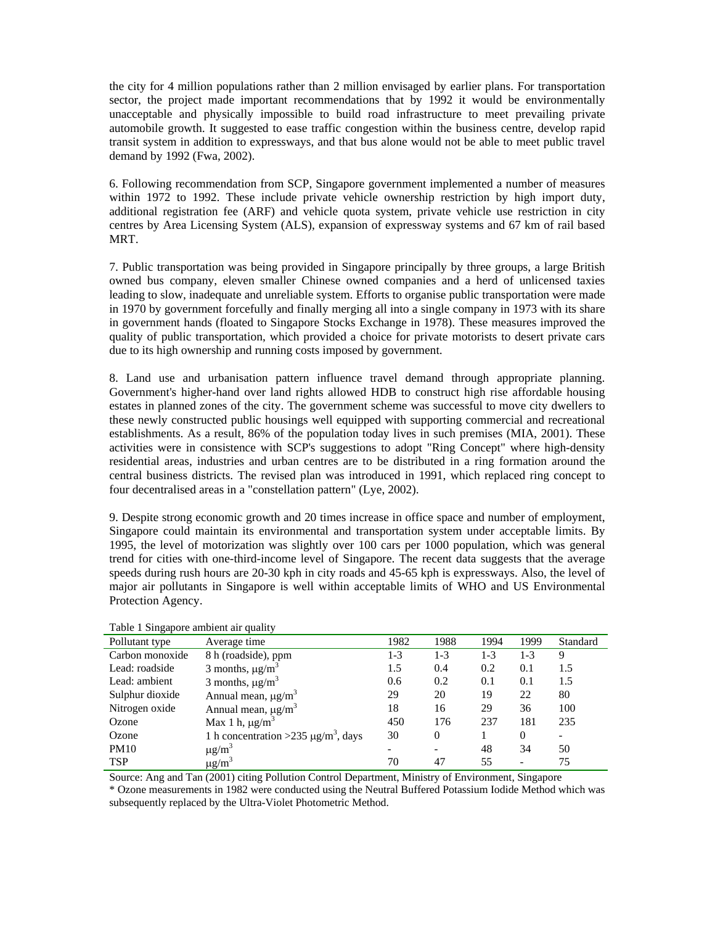the city for 4 million populations rather than 2 million envisaged by earlier plans. For transportation sector, the project made important recommendations that by 1992 it would be environmentally unacceptable and physically impossible to build road infrastructure to meet prevailing private automobile growth. It suggested to ease traffic congestion within the business centre, develop rapid transit system in addition to expressways, and that bus alone would not be able to meet public travel demand by 1992 (Fwa, 2002).

6. Following recommendation from SCP, Singapore government implemented a number of measures within 1972 to 1992. These include private vehicle ownership restriction by high import duty, additional registration fee (ARF) and vehicle quota system, private vehicle use restriction in city centres by Area Licensing System (ALS), expansion of expressway systems and 67 km of rail based MRT.

7. Public transportation was being provided in Singapore principally by three groups, a large British owned bus company, eleven smaller Chinese owned companies and a herd of unlicensed taxies leading to slow, inadequate and unreliable system. Efforts to organise public transportation were made in 1970 by government forcefully and finally merging all into a single company in 1973 with its share in government hands (floated to Singapore Stocks Exchange in 1978). These measures improved the quality of public transportation, which provided a choice for private motorists to desert private cars due to its high ownership and running costs imposed by government.

8. Land use and urbanisation pattern influence travel demand through appropriate planning. Government's higher-hand over land rights allowed HDB to construct high rise affordable housing estates in planned zones of the city. The government scheme was successful to move city dwellers to these newly constructed public housings well equipped with supporting commercial and recreational establishments. As a result, 86% of the population today lives in such premises (MIA, 2001). These activities were in consistence with SCP's suggestions to adopt "Ring Concept" where high-density residential areas, industries and urban centres are to be distributed in a ring formation around the central business districts. The revised plan was introduced in 1991, which replaced ring concept to four decentralised areas in a "constellation pattern" (Lye, 2002).

9. Despite strong economic growth and 20 times increase in office space and number of employment, Singapore could maintain its environmental and transportation system under acceptable limits. By 1995, the level of motorization was slightly over 100 cars per 1000 population, which was general trend for cities with one-third-income level of Singapore. The recent data suggests that the average speeds during rush hours are 20-30 kph in city roads and 45-65 kph is expressways. Also, the level of major air pollutants in Singapore is well within acceptable limits of WHO and US Environmental Protection Agency.

| --சு-ர          |                                                       |         |          |         |                          |          |
|-----------------|-------------------------------------------------------|---------|----------|---------|--------------------------|----------|
| Pollutant type  | Average time                                          | 1982    | 1988     | 1994    | 1999                     | Standard |
| Carbon monoxide | 8 h (roadside), ppm                                   | $1 - 3$ | $1 - 3$  | $1 - 3$ | 1-3                      | 9        |
| Lead: roadside  | 3 months, $\mu$ g/m <sup>3</sup>                      | 1.5     | 0.4      | 0.2     | 0.1                      | 1.5      |
| Lead: ambient   | 3 months, $\mu$ g/m <sup>3</sup>                      | 0.6     | 0.2      | 0.1     | 0.1                      | 1.5      |
| Sulphur dioxide | Annual mean, $\mu$ g/m <sup>3</sup>                   | 29      | 20       | 19      | 22                       | 80       |
| Nitrogen oxide  | Annual mean, $\mu$ g/m <sup>3</sup>                   | 18      | 16       | 29      | 36                       | 100      |
| Ozone           | Max 1 h, $\mu$ g/m <sup>3</sup>                       | 450     | 176      | 237     | 181                      | 235      |
| Ozone           | 1 h concentration > 235 $\mu$ g/m <sup>3</sup> , days | 30      | $\Omega$ |         | $\Omega$                 |          |
| <b>PM10</b>     | $\mu$ g/m <sup>3</sup>                                |         |          | 48      | 34                       | 50       |
| <b>TSP</b>      | $\mu$ g/m <sup>3</sup>                                | 70      | 47       | 55      | $\overline{\phantom{0}}$ | 75       |

Table 1 Singapore ambient air quality

Source: Ang and Tan (2001) citing Pollution Control Department, Ministry of Environment, Singapore

\* Ozone measurements in 1982 were conducted using the Neutral Buffered Potassium Iodide Method which was subsequently replaced by the Ultra-Violet Photometric Method.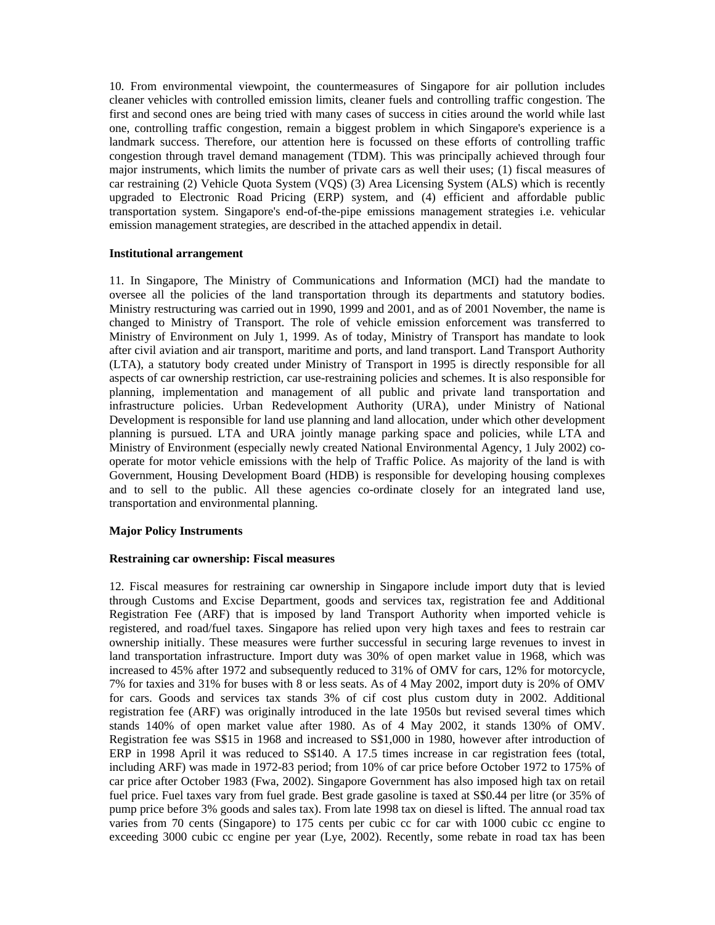10. From environmental viewpoint, the countermeasures of Singapore for air pollution includes cleaner vehicles with controlled emission limits, cleaner fuels and controlling traffic congestion. The first and second ones are being tried with many cases of success in cities around the world while last one, controlling traffic congestion, remain a biggest problem in which Singapore's experience is a landmark success. Therefore, our attention here is focussed on these efforts of controlling traffic congestion through travel demand management (TDM). This was principally achieved through four major instruments, which limits the number of private cars as well their uses; (1) fiscal measures of car restraining (2) Vehicle Quota System (VQS) (3) Area Licensing System (ALS) which is recently upgraded to Electronic Road Pricing (ERP) system, and (4) efficient and affordable public transportation system. Singapore's end-of-the-pipe emissions management strategies i.e. vehicular emission management strategies, are described in the attached appendix in detail.

## **Institutional arrangement**

11. In Singapore, The Ministry of Communications and Information (MCI) had the mandate to oversee all the policies of the land transportation through its departments and statutory bodies. Ministry restructuring was carried out in 1990, 1999 and 2001, and as of 2001 November, the name is changed to Ministry of Transport. The role of vehicle emission enforcement was transferred to Ministry of Environment on July 1, 1999. As of today, Ministry of Transport has mandate to look after civil aviation and air transport, maritime and ports, and land transport. Land Transport Authority (LTA), a statutory body created under Ministry of Transport in 1995 is directly responsible for all aspects of car ownership restriction, car use-restraining policies and schemes. It is also responsible for planning, implementation and management of all public and private land transportation and infrastructure policies. Urban Redevelopment Authority (URA), under Ministry of National Development is responsible for land use planning and land allocation, under which other development planning is pursued. LTA and URA jointly manage parking space and policies, while LTA and Ministry of Environment (especially newly created National Environmental Agency, 1 July 2002) cooperate for motor vehicle emissions with the help of Traffic Police. As majority of the land is with Government, Housing Development Board (HDB) is responsible for developing housing complexes and to sell to the public. All these agencies co-ordinate closely for an integrated land use, transportation and environmental planning.

# **Major Policy Instruments**

# **Restraining car ownership: Fiscal measures**

12. Fiscal measures for restraining car ownership in Singapore include import duty that is levied through Customs and Excise Department, goods and services tax, registration fee and Additional Registration Fee (ARF) that is imposed by land Transport Authority when imported vehicle is registered, and road/fuel taxes. Singapore has relied upon very high taxes and fees to restrain car ownership initially. These measures were further successful in securing large revenues to invest in land transportation infrastructure. Import duty was 30% of open market value in 1968, which was increased to 45% after 1972 and subsequently reduced to 31% of OMV for cars, 12% for motorcycle, 7% for taxies and 31% for buses with 8 or less seats. As of 4 May 2002, import duty is 20% of OMV for cars. Goods and services tax stands 3% of cif cost plus custom duty in 2002. Additional registration fee (ARF) was originally introduced in the late 1950s but revised several times which stands 140% of open market value after 1980. As of 4 May 2002, it stands 130% of OMV. Registration fee was S\$15 in 1968 and increased to S\$1,000 in 1980, however after introduction of ERP in 1998 April it was reduced to S\$140. A 17.5 times increase in car registration fees (total, including ARF) was made in 1972-83 period; from 10% of car price before October 1972 to 175% of car price after October 1983 (Fwa, 2002). Singapore Government has also imposed high tax on retail fuel price. Fuel taxes vary from fuel grade. Best grade gasoline is taxed at S\$0.44 per litre (or 35% of pump price before 3% goods and sales tax). From late 1998 tax on diesel is lifted. The annual road tax varies from 70 cents (Singapore) to 175 cents per cubic cc for car with 1000 cubic cc engine to exceeding 3000 cubic cc engine per year (Lye, 2002). Recently, some rebate in road tax has been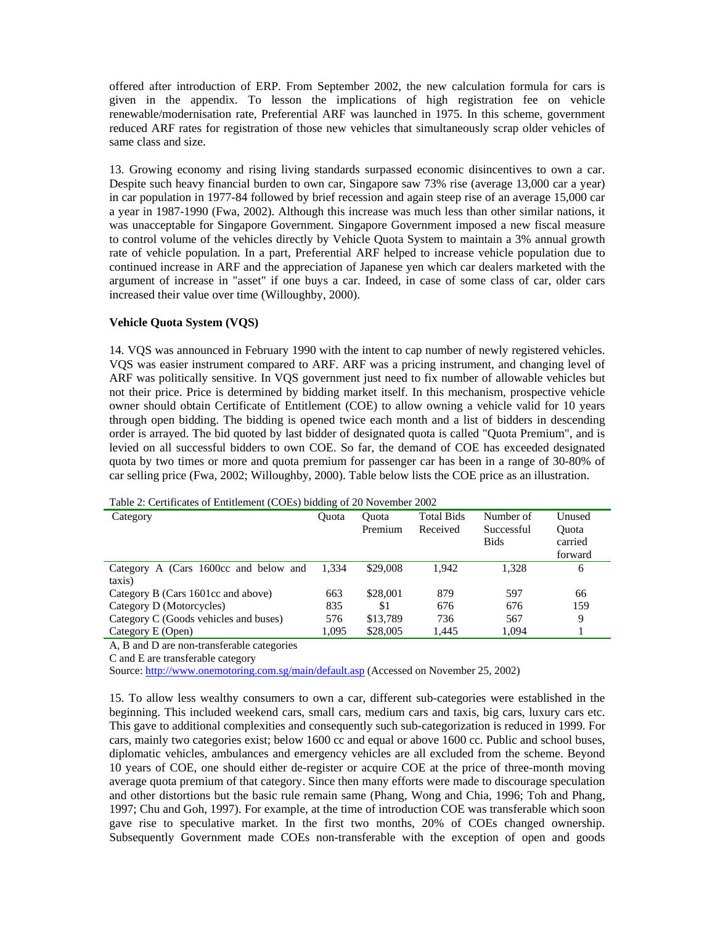offered after introduction of ERP. From September 2002, the new calculation formula for cars is given in the appendix. To lesson the implications of high registration fee on vehicle renewable/modernisation rate, Preferential ARF was launched in 1975. In this scheme, government reduced ARF rates for registration of those new vehicles that simultaneously scrap older vehicles of same class and size.

13. Growing economy and rising living standards surpassed economic disincentives to own a car. Despite such heavy financial burden to own car, Singapore saw 73% rise (average 13,000 car a year) in car population in 1977-84 followed by brief recession and again steep rise of an average 15,000 car a year in 1987-1990 (Fwa, 2002). Although this increase was much less than other similar nations, it was unacceptable for Singapore Government. Singapore Government imposed a new fiscal measure to control volume of the vehicles directly by Vehicle Quota System to maintain a 3% annual growth rate of vehicle population. In a part, Preferential ARF helped to increase vehicle population due to continued increase in ARF and the appreciation of Japanese yen which car dealers marketed with the argument of increase in "asset" if one buys a car. Indeed, in case of some class of car, older cars increased their value over time (Willoughby, 2000).

## **Vehicle Quota System (VQS)**

14. VQS was announced in February 1990 with the intent to cap number of newly registered vehicles. VQS was easier instrument compared to ARF. ARF was a pricing instrument, and changing level of ARF was politically sensitive. In VQS government just need to fix number of allowable vehicles but not their price. Price is determined by bidding market itself. In this mechanism, prospective vehicle owner should obtain Certificate of Entitlement (COE) to allow owning a vehicle valid for 10 years through open bidding. The bidding is opened twice each month and a list of bidders in descending order is arrayed. The bid quoted by last bidder of designated quota is called "Quota Premium", and is levied on all successful bidders to own COE. So far, the demand of COE has exceeded designated quota by two times or more and quota premium for passenger car has been in a range of 30-80% of car selling price (Fwa, 2002; Willoughby, 2000). Table below lists the COE price as an illustration.

Table 2: Certificates of Entitlement (COEs) bidding of 20 November 2002

| Category                                     | <b>Ouota</b> | Ouota<br>Premium | <b>Total Bids</b><br>Received | Number of<br>Successful<br><b>Bids</b> | Unused<br><b>Ouota</b><br>carried<br>forward |
|----------------------------------------------|--------------|------------------|-------------------------------|----------------------------------------|----------------------------------------------|
| Category A (Cars 1600cc and below and        | 1.334        | \$29,008         | 1.942                         | 1.328                                  | 6                                            |
| taxis)<br>Category B (Cars 1601cc and above) | 663          | \$28,001         | 879                           | 597                                    | 66                                           |
| Category D (Motorcycles)                     | 835          | -S1              | 676                           | 676                                    | 159                                          |
| Category C (Goods vehicles and buses)        | 576          | \$13.789         | 736                           | 567                                    | 9                                            |
| Category E (Open)                            | 1.095        | \$28,005         | 1.445                         | 1.094                                  |                                              |

A, B and D are non-transferable categories

C and E are transferable category

Source: http://www.onemotoring.com.sg/main/default.asp (Accessed on November 25, 2002)

15. To allow less wealthy consumers to own a car, different sub-categories were established in the beginning. This included weekend cars, small cars, medium cars and taxis, big cars, luxury cars etc. This gave to additional complexities and consequently such sub-categorization is reduced in 1999. For cars, mainly two categories exist; below 1600 cc and equal or above 1600 cc. Public and school buses, diplomatic vehicles, ambulances and emergency vehicles are all excluded from the scheme. Beyond 10 years of COE, one should either de-register or acquire COE at the price of three-month moving average quota premium of that category. Since then many efforts were made to discourage speculation and other distortions but the basic rule remain same (Phang, Wong and Chia, 1996; Toh and Phang, 1997; Chu and Goh, 1997). For example, at the time of introduction COE was transferable which soon gave rise to speculative market. In the first two months, 20% of COEs changed ownership. Subsequently Government made COEs non-transferable with the exception of open and goods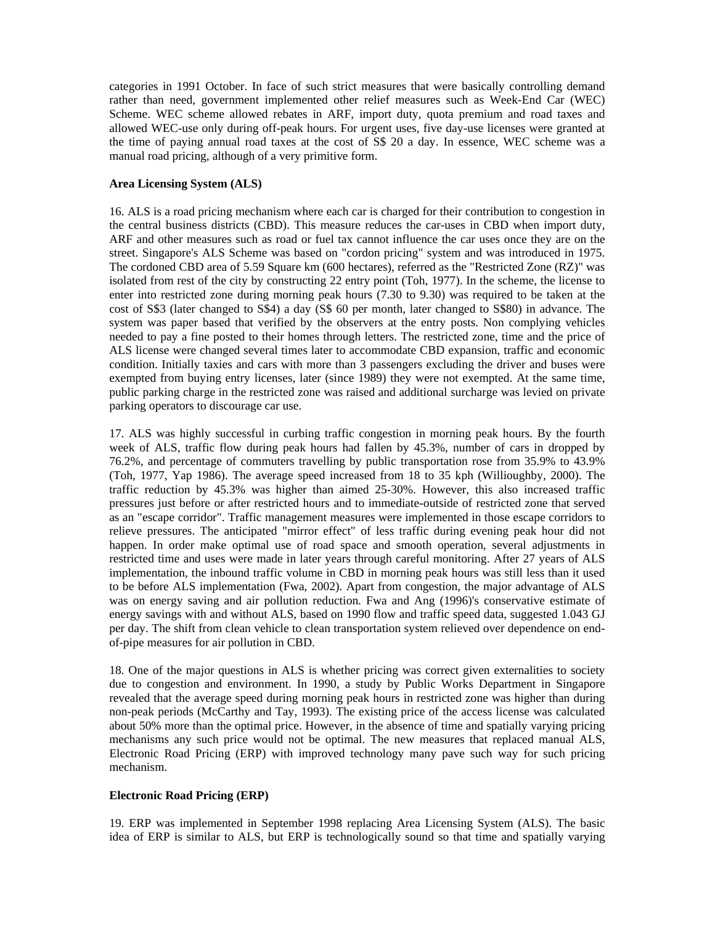categories in 1991 October. In face of such strict measures that were basically controlling demand rather than need, government implemented other relief measures such as Week-End Car (WEC) Scheme. WEC scheme allowed rebates in ARF, import duty, quota premium and road taxes and allowed WEC-use only during off-peak hours. For urgent uses, five day-use licenses were granted at the time of paying annual road taxes at the cost of S\$ 20 a day. In essence, WEC scheme was a manual road pricing, although of a very primitive form.

# **Area Licensing System (ALS)**

16. ALS is a road pricing mechanism where each car is charged for their contribution to congestion in the central business districts (CBD). This measure reduces the car-uses in CBD when import duty, ARF and other measures such as road or fuel tax cannot influence the car uses once they are on the street. Singapore's ALS Scheme was based on "cordon pricing" system and was introduced in 1975. The cordoned CBD area of 5.59 Square km (600 hectares), referred as the "Restricted Zone (RZ)" was isolated from rest of the city by constructing 22 entry point (Toh, 1977). In the scheme, the license to enter into restricted zone during morning peak hours (7.30 to 9.30) was required to be taken at the cost of S\$3 (later changed to S\$4) a day (S\$ 60 per month, later changed to S\$80) in advance. The system was paper based that verified by the observers at the entry posts. Non complying vehicles needed to pay a fine posted to their homes through letters. The restricted zone, time and the price of ALS license were changed several times later to accommodate CBD expansion, traffic and economic condition. Initially taxies and cars with more than 3 passengers excluding the driver and buses were exempted from buying entry licenses, later (since 1989) they were not exempted. At the same time, public parking charge in the restricted zone was raised and additional surcharge was levied on private parking operators to discourage car use.

17. ALS was highly successful in curbing traffic congestion in morning peak hours. By the fourth week of ALS, traffic flow during peak hours had fallen by 45.3%, number of cars in dropped by 76.2%, and percentage of commuters travelling by public transportation rose from 35.9% to 43.9% (Toh, 1977, Yap 1986). The average speed increased from 18 to 35 kph (Willioughby, 2000). The traffic reduction by 45.3% was higher than aimed 25-30%. However, this also increased traffic pressures just before or after restricted hours and to immediate-outside of restricted zone that served as an "escape corridor". Traffic management measures were implemented in those escape corridors to relieve pressures. The anticipated "mirror effect" of less traffic during evening peak hour did not happen. In order make optimal use of road space and smooth operation, several adjustments in restricted time and uses were made in later years through careful monitoring. After 27 years of ALS implementation, the inbound traffic volume in CBD in morning peak hours was still less than it used to be before ALS implementation (Fwa, 2002). Apart from congestion, the major advantage of ALS was on energy saving and air pollution reduction. Fwa and Ang (1996)'s conservative estimate of energy savings with and without ALS, based on 1990 flow and traffic speed data, suggested 1.043 GJ per day. The shift from clean vehicle to clean transportation system relieved over dependence on endof-pipe measures for air pollution in CBD.

18. One of the major questions in ALS is whether pricing was correct given externalities to society due to congestion and environment. In 1990, a study by Public Works Department in Singapore revealed that the average speed during morning peak hours in restricted zone was higher than during non-peak periods (McCarthy and Tay, 1993). The existing price of the access license was calculated about 50% more than the optimal price. However, in the absence of time and spatially varying pricing mechanisms any such price would not be optimal. The new measures that replaced manual ALS, Electronic Road Pricing (ERP) with improved technology many pave such way for such pricing mechanism.

# **Electronic Road Pricing (ERP)**

19. ERP was implemented in September 1998 replacing Area Licensing System (ALS). The basic idea of ERP is similar to ALS, but ERP is technologically sound so that time and spatially varying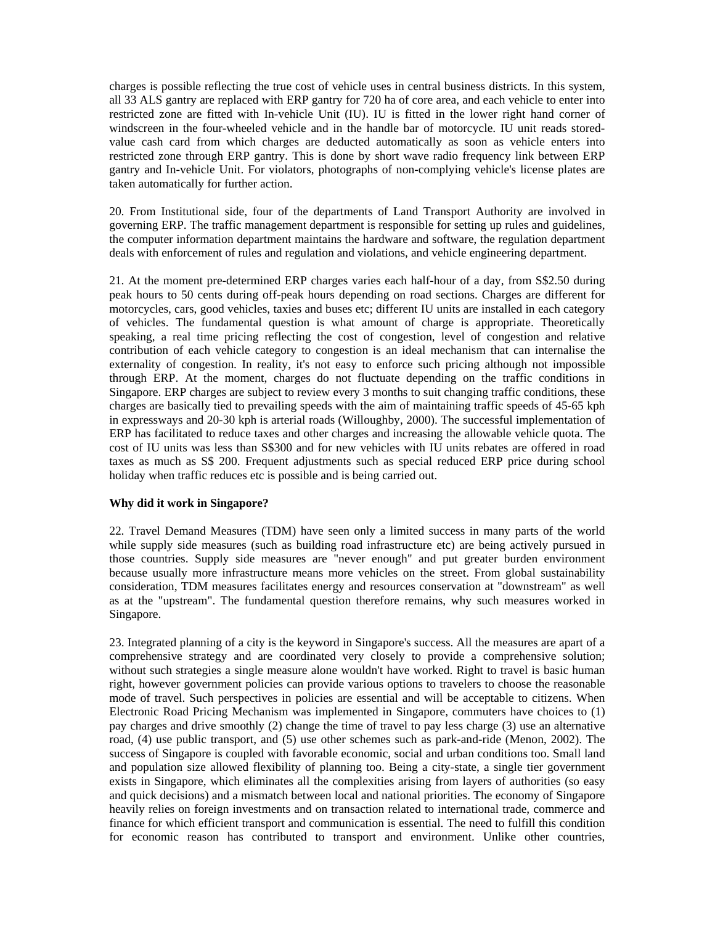charges is possible reflecting the true cost of vehicle uses in central business districts. In this system, all 33 ALS gantry are replaced with ERP gantry for 720 ha of core area, and each vehicle to enter into restricted zone are fitted with In-vehicle Unit (IU). IU is fitted in the lower right hand corner of windscreen in the four-wheeled vehicle and in the handle bar of motorcycle. IU unit reads storedvalue cash card from which charges are deducted automatically as soon as vehicle enters into restricted zone through ERP gantry. This is done by short wave radio frequency link between ERP gantry and In-vehicle Unit. For violators, photographs of non-complying vehicle's license plates are taken automatically for further action.

20. From Institutional side, four of the departments of Land Transport Authority are involved in governing ERP. The traffic management department is responsible for setting up rules and guidelines, the computer information department maintains the hardware and software, the regulation department deals with enforcement of rules and regulation and violations, and vehicle engineering department.

21. At the moment pre-determined ERP charges varies each half-hour of a day, from S\$2.50 during peak hours to 50 cents during off-peak hours depending on road sections. Charges are different for motorcycles, cars, good vehicles, taxies and buses etc; different IU units are installed in each category of vehicles. The fundamental question is what amount of charge is appropriate. Theoretically speaking, a real time pricing reflecting the cost of congestion, level of congestion and relative contribution of each vehicle category to congestion is an ideal mechanism that can internalise the externality of congestion. In reality, it's not easy to enforce such pricing although not impossible through ERP. At the moment, charges do not fluctuate depending on the traffic conditions in Singapore. ERP charges are subject to review every 3 months to suit changing traffic conditions, these charges are basically tied to prevailing speeds with the aim of maintaining traffic speeds of 45-65 kph in expressways and 20-30 kph is arterial roads (Willoughby, 2000). The successful implementation of ERP has facilitated to reduce taxes and other charges and increasing the allowable vehicle quota. The cost of IU units was less than S\$300 and for new vehicles with IU units rebates are offered in road taxes as much as S\$ 200. Frequent adjustments such as special reduced ERP price during school holiday when traffic reduces etc is possible and is being carried out.

### **Why did it work in Singapore?**

22. Travel Demand Measures (TDM) have seen only a limited success in many parts of the world while supply side measures (such as building road infrastructure etc) are being actively pursued in those countries. Supply side measures are "never enough" and put greater burden environment because usually more infrastructure means more vehicles on the street. From global sustainability consideration, TDM measures facilitates energy and resources conservation at "downstream" as well as at the "upstream". The fundamental question therefore remains, why such measures worked in Singapore.

23. Integrated planning of a city is the keyword in Singapore's success. All the measures are apart of a comprehensive strategy and are coordinated very closely to provide a comprehensive solution; without such strategies a single measure alone wouldn't have worked. Right to travel is basic human right, however government policies can provide various options to travelers to choose the reasonable mode of travel. Such perspectives in policies are essential and will be acceptable to citizens. When Electronic Road Pricing Mechanism was implemented in Singapore, commuters have choices to (1) pay charges and drive smoothly (2) change the time of travel to pay less charge (3) use an alternative road, (4) use public transport, and (5) use other schemes such as park-and-ride (Menon, 2002). The success of Singapore is coupled with favorable economic, social and urban conditions too. Small land and population size allowed flexibility of planning too. Being a city-state, a single tier government exists in Singapore, which eliminates all the complexities arising from layers of authorities (so easy and quick decisions) and a mismatch between local and national priorities. The economy of Singapore heavily relies on foreign investments and on transaction related to international trade, commerce and finance for which efficient transport and communication is essential. The need to fulfill this condition for economic reason has contributed to transport and environment. Unlike other countries,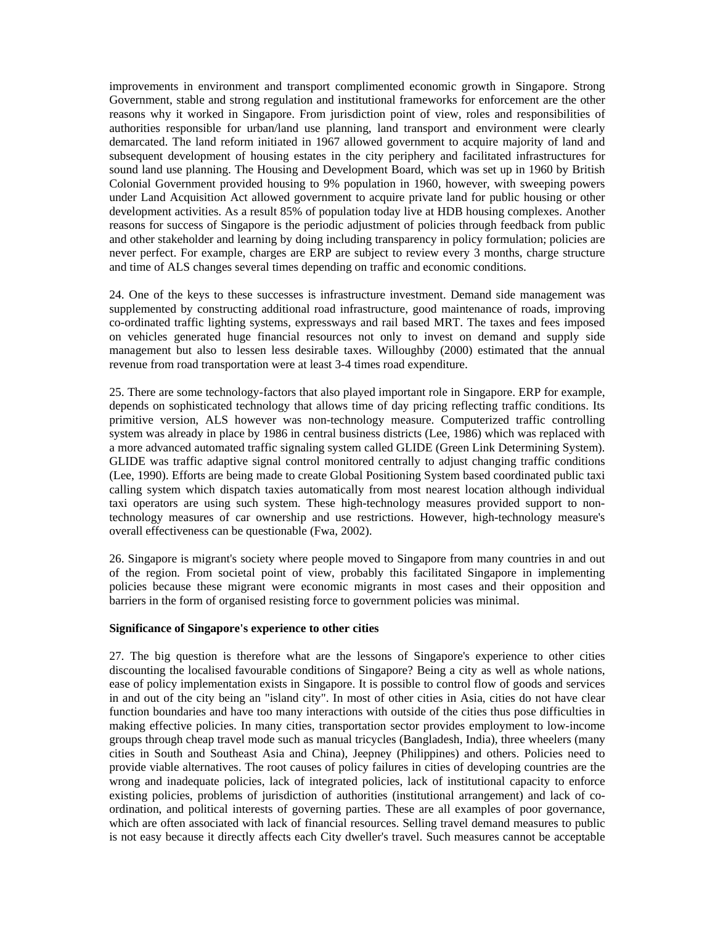improvements in environment and transport complimented economic growth in Singapore. Strong Government, stable and strong regulation and institutional frameworks for enforcement are the other reasons why it worked in Singapore. From jurisdiction point of view, roles and responsibilities of authorities responsible for urban/land use planning, land transport and environment were clearly demarcated. The land reform initiated in 1967 allowed government to acquire majority of land and subsequent development of housing estates in the city periphery and facilitated infrastructures for sound land use planning. The Housing and Development Board, which was set up in 1960 by British Colonial Government provided housing to 9% population in 1960, however, with sweeping powers under Land Acquisition Act allowed government to acquire private land for public housing or other development activities. As a result 85% of population today live at HDB housing complexes. Another reasons for success of Singapore is the periodic adjustment of policies through feedback from public and other stakeholder and learning by doing including transparency in policy formulation; policies are never perfect. For example, charges are ERP are subject to review every 3 months, charge structure and time of ALS changes several times depending on traffic and economic conditions.

24. One of the keys to these successes is infrastructure investment. Demand side management was supplemented by constructing additional road infrastructure, good maintenance of roads, improving co-ordinated traffic lighting systems, expressways and rail based MRT. The taxes and fees imposed on vehicles generated huge financial resources not only to invest on demand and supply side management but also to lessen less desirable taxes. Willoughby (2000) estimated that the annual revenue from road transportation were at least 3-4 times road expenditure.

25. There are some technology-factors that also played important role in Singapore. ERP for example, depends on sophisticated technology that allows time of day pricing reflecting traffic conditions. Its primitive version, ALS however was non-technology measure. Computerized traffic controlling system was already in place by 1986 in central business districts (Lee, 1986) which was replaced with a more advanced automated traffic signaling system called GLIDE (Green Link Determining System). GLIDE was traffic adaptive signal control monitored centrally to adjust changing traffic conditions (Lee, 1990). Efforts are being made to create Global Positioning System based coordinated public taxi calling system which dispatch taxies automatically from most nearest location although individual taxi operators are using such system. These high-technology measures provided support to nontechnology measures of car ownership and use restrictions. However, high-technology measure's overall effectiveness can be questionable (Fwa, 2002).

26. Singapore is migrant's society where people moved to Singapore from many countries in and out of the region. From societal point of view, probably this facilitated Singapore in implementing policies because these migrant were economic migrants in most cases and their opposition and barriers in the form of organised resisting force to government policies was minimal.

### **Significance of Singapore's experience to other cities**

27. The big question is therefore what are the lessons of Singapore's experience to other cities discounting the localised favourable conditions of Singapore? Being a city as well as whole nations, ease of policy implementation exists in Singapore. It is possible to control flow of goods and services in and out of the city being an "island city". In most of other cities in Asia, cities do not have clear function boundaries and have too many interactions with outside of the cities thus pose difficulties in making effective policies. In many cities, transportation sector provides employment to low-income groups through cheap travel mode such as manual tricycles (Bangladesh, India), three wheelers (many cities in South and Southeast Asia and China), Jeepney (Philippines) and others. Policies need to provide viable alternatives. The root causes of policy failures in cities of developing countries are the wrong and inadequate policies, lack of integrated policies, lack of institutional capacity to enforce existing policies, problems of jurisdiction of authorities (institutional arrangement) and lack of coordination, and political interests of governing parties. These are all examples of poor governance, which are often associated with lack of financial resources. Selling travel demand measures to public is not easy because it directly affects each City dweller's travel. Such measures cannot be acceptable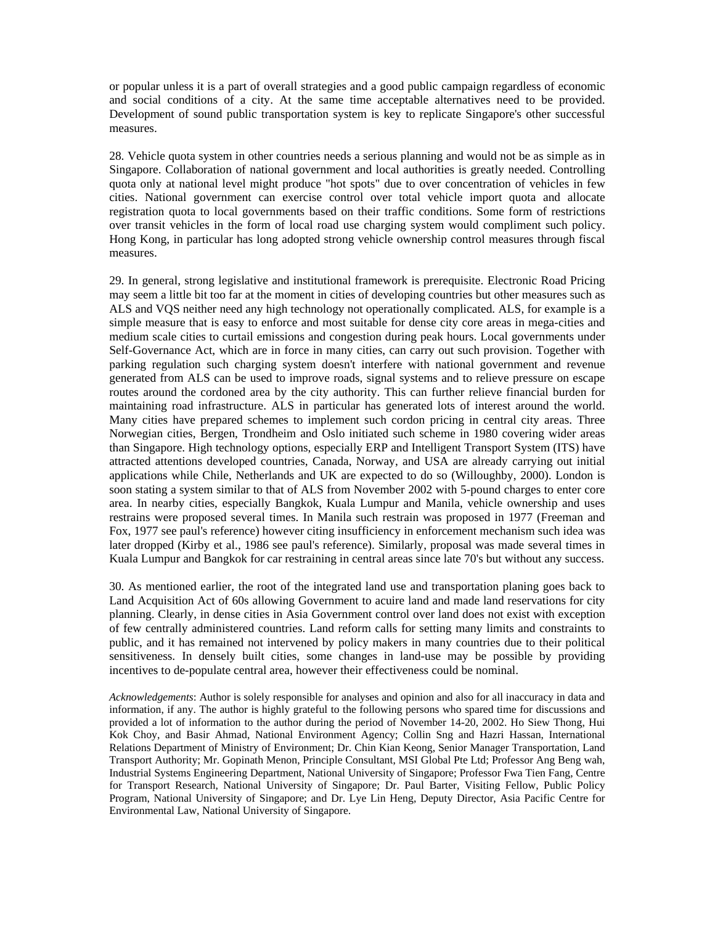or popular unless it is a part of overall strategies and a good public campaign regardless of economic and social conditions of a city. At the same time acceptable alternatives need to be provided. Development of sound public transportation system is key to replicate Singapore's other successful measures.

28. Vehicle quota system in other countries needs a serious planning and would not be as simple as in Singapore. Collaboration of national government and local authorities is greatly needed. Controlling quota only at national level might produce "hot spots" due to over concentration of vehicles in few cities. National government can exercise control over total vehicle import quota and allocate registration quota to local governments based on their traffic conditions. Some form of restrictions over transit vehicles in the form of local road use charging system would compliment such policy. Hong Kong, in particular has long adopted strong vehicle ownership control measures through fiscal measures.

29. In general, strong legislative and institutional framework is prerequisite. Electronic Road Pricing may seem a little bit too far at the moment in cities of developing countries but other measures such as ALS and VQS neither need any high technology not operationally complicated. ALS, for example is a simple measure that is easy to enforce and most suitable for dense city core areas in mega-cities and medium scale cities to curtail emissions and congestion during peak hours. Local governments under Self-Governance Act, which are in force in many cities, can carry out such provision. Together with parking regulation such charging system doesn't interfere with national government and revenue generated from ALS can be used to improve roads, signal systems and to relieve pressure on escape routes around the cordoned area by the city authority. This can further relieve financial burden for maintaining road infrastructure. ALS in particular has generated lots of interest around the world. Many cities have prepared schemes to implement such cordon pricing in central city areas. Three Norwegian cities, Bergen, Trondheim and Oslo initiated such scheme in 1980 covering wider areas than Singapore. High technology options, especially ERP and Intelligent Transport System (ITS) have attracted attentions developed countries, Canada, Norway, and USA are already carrying out initial applications while Chile, Netherlands and UK are expected to do so (Willoughby, 2000). London is soon stating a system similar to that of ALS from November 2002 with 5-pound charges to enter core area. In nearby cities, especially Bangkok, Kuala Lumpur and Manila, vehicle ownership and uses restrains were proposed several times. In Manila such restrain was proposed in 1977 (Freeman and Fox, 1977 see paul's reference) however citing insufficiency in enforcement mechanism such idea was later dropped (Kirby et al., 1986 see paul's reference). Similarly, proposal was made several times in Kuala Lumpur and Bangkok for car restraining in central areas since late 70's but without any success.

30. As mentioned earlier, the root of the integrated land use and transportation planing goes back to Land Acquisition Act of 60s allowing Government to acuire land and made land reservations for city planning. Clearly, in dense cities in Asia Government control over land does not exist with exception of few centrally administered countries. Land reform calls for setting many limits and constraints to public, and it has remained not intervened by policy makers in many countries due to their political sensitiveness. In densely built cities, some changes in land-use may be possible by providing incentives to de-populate central area, however their effectiveness could be nominal.

*Acknowledgements*: Author is solely responsible for analyses and opinion and also for all inaccuracy in data and information, if any. The author is highly grateful to the following persons who spared time for discussions and provided a lot of information to the author during the period of November 14-20, 2002. Ho Siew Thong, Hui Kok Choy, and Basir Ahmad, National Environment Agency; Collin Sng and Hazri Hassan, International Relations Department of Ministry of Environment; Dr. Chin Kian Keong, Senior Manager Transportation, Land Transport Authority; Mr. Gopinath Menon, Principle Consultant, MSI Global Pte Ltd; Professor Ang Beng wah, Industrial Systems Engineering Department, National University of Singapore; Professor Fwa Tien Fang, Centre for Transport Research, National University of Singapore; Dr. Paul Barter, Visiting Fellow, Public Policy Program, National University of Singapore; and Dr. Lye Lin Heng, Deputy Director, Asia Pacific Centre for Environmental Law, National University of Singapore.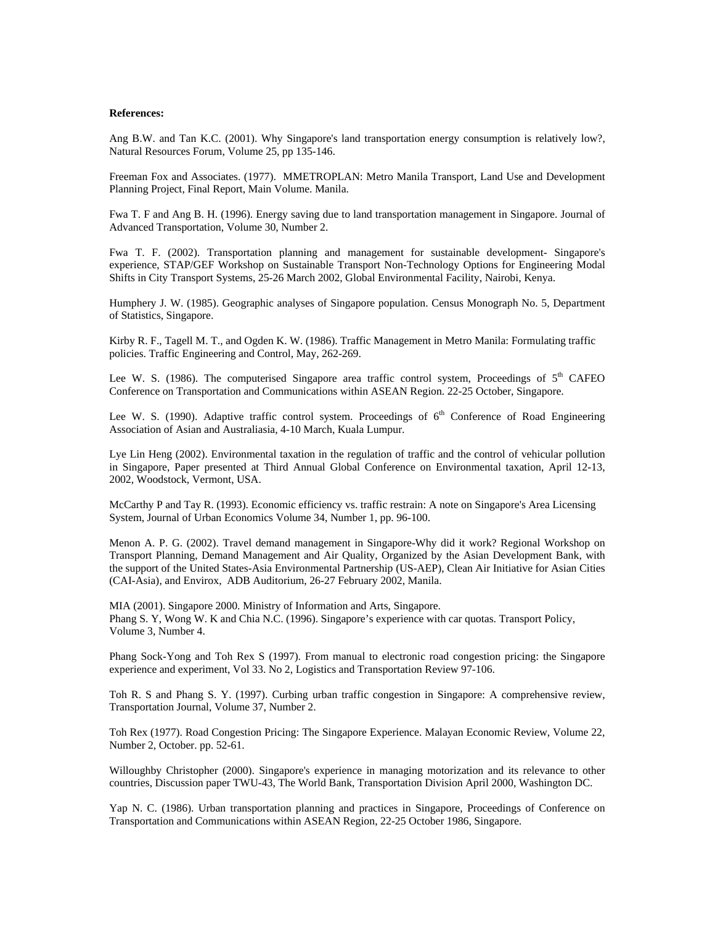#### **References:**

Ang B.W. and Tan K.C. (2001). Why Singapore's land transportation energy consumption is relatively low?, Natural Resources Forum, Volume 25, pp 135-146.

Freeman Fox and Associates. (1977). MMETROPLAN: Metro Manila Transport, Land Use and Development Planning Project, Final Report, Main Volume. Manila.

Fwa T. F and Ang B. H. (1996). Energy saving due to land transportation management in Singapore. Journal of Advanced Transportation, Volume 30, Number 2.

Fwa T. F. (2002). Transportation planning and management for sustainable development- Singapore's experience, STAP/GEF Workshop on Sustainable Transport Non-Technology Options for Engineering Modal Shifts in City Transport Systems, 25-26 March 2002, Global Environmental Facility, Nairobi, Kenya.

Humphery J. W. (1985). Geographic analyses of Singapore population. Census Monograph No. 5, Department of Statistics, Singapore.

Kirby R. F., Tagell M. T., and Ogden K. W. (1986). Traffic Management in Metro Manila: Formulating traffic policies. Traffic Engineering and Control, May, 262-269.

Lee W. S. (1986). The computerised Singapore area traffic control system, Proceedings of  $5<sup>th</sup>$  CAFEO Conference on Transportation and Communications within ASEAN Region. 22-25 October, Singapore.

Lee W. S. (1990). Adaptive traffic control system. Proceedings of  $6<sup>th</sup>$  Conference of Road Engineering Association of Asian and Australiasia, 4-10 March, Kuala Lumpur.

Lye Lin Heng (2002). Environmental taxation in the regulation of traffic and the control of vehicular pollution in Singapore, Paper presented at Third Annual Global Conference on Environmental taxation, April 12-13, 2002, Woodstock, Vermont, USA.

McCarthy P and Tay R. (1993). Economic efficiency vs. traffic restrain: A note on Singapore's Area Licensing System, Journal of Urban Economics Volume 34, Number 1, pp. 96-100.

Menon A. P. G. (2002). Travel demand management in Singapore-Why did it work? Regional Workshop on Transport Planning, Demand Management and Air Quality, Organized by the Asian Development Bank, with the support of the United States-Asia Environmental Partnership (US-AEP), Clean Air Initiative for Asian Cities (CAI-Asia), and Envirox, ADB Auditorium, 26-27 February 2002, Manila.

MIA (2001). Singapore 2000. Ministry of Information and Arts, Singapore. Phang S. Y, Wong W. K and Chia N.C. (1996). Singapore's experience with car quotas. Transport Policy, Volume 3, Number 4.

Phang Sock-Yong and Toh Rex S (1997). From manual to electronic road congestion pricing: the Singapore experience and experiment, Vol 33. No 2, Logistics and Transportation Review 97-106.

Toh R. S and Phang S. Y. (1997). Curbing urban traffic congestion in Singapore: A comprehensive review, Transportation Journal, Volume 37, Number 2.

Toh Rex (1977). Road Congestion Pricing: The Singapore Experience. Malayan Economic Review, Volume 22, Number 2, October. pp. 52-61.

Willoughby Christopher (2000). Singapore's experience in managing motorization and its relevance to other countries, Discussion paper TWU-43, The World Bank, Transportation Division April 2000, Washington DC.

Yap N. C. (1986). Urban transportation planning and practices in Singapore, Proceedings of Conference on Transportation and Communications within ASEAN Region, 22-25 October 1986, Singapore.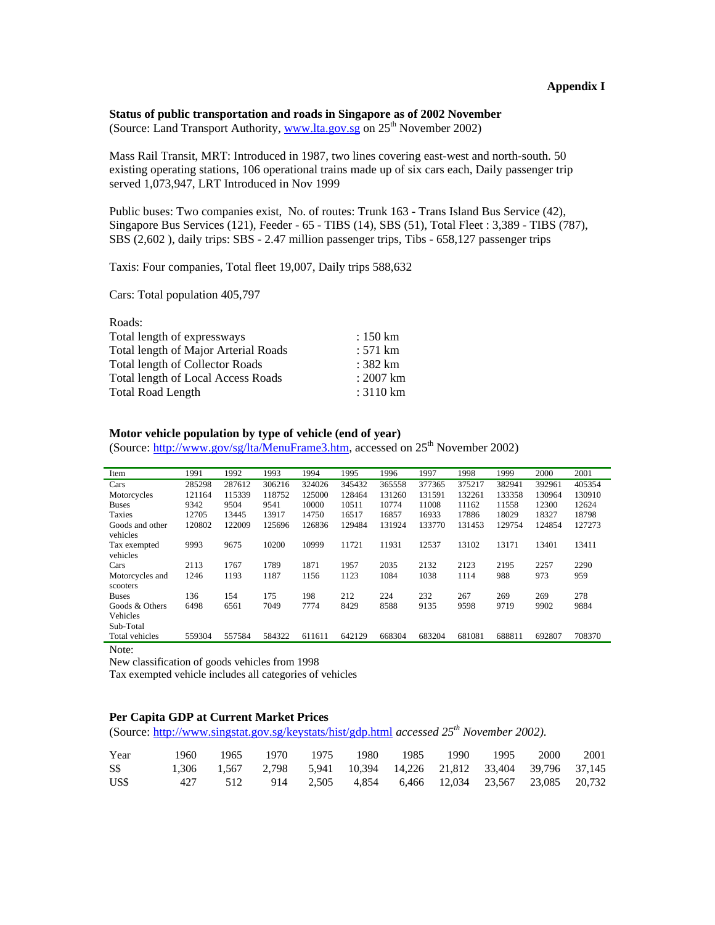# **Status of public transportation and roads in Singapore as of 2002 November**

(Source: Land Transport Authority, www.lta.gov.sg on  $25<sup>th</sup>$  November 2002)

Mass Rail Transit, MRT: Introduced in 1987, two lines covering east-west and north-south. 50 existing operating stations, 106 operational trains made up of six cars each, Daily passenger trip served 1,073,947, LRT Introduced in Nov 1999

Public buses: Two companies exist, No. of routes: Trunk 163 - Trans Island Bus Service (42), Singapore Bus Services (121), Feeder - 65 - TIBS (14), SBS (51), Total Fleet : 3,389 - TIBS (787), SBS (2,602 ), daily trips: SBS - 2.47 million passenger trips, Tibs - 658,127 passenger trips

Taxis: Four companies, Total fleet 19,007, Daily trips 588,632

Cars: Total population 405,797

| $: 150 \mathrm{km}$ |
|---------------------|
| $: 571 \text{ km}$  |
| $: 382 \text{ km}$  |
| $: 2007 \text{ km}$ |
| : $3110 \text{ km}$ |
|                     |

## **Motor vehicle population by type of vehicle (end of year)**

(Source: http://www.gov/sg/lta/MenuFrame3.htm, accessed on 25<sup>th</sup> November 2002)

| Item                               | 1991   | 1992   | 1993   | 1994   | 1995   | 1996   | 1997   | 1998   | 1999   | 2000   | 2001   |
|------------------------------------|--------|--------|--------|--------|--------|--------|--------|--------|--------|--------|--------|
| Cars                               | 285298 | 287612 | 306216 | 324026 | 345432 | 365558 | 377365 | 375217 | 382941 | 392961 | 405354 |
| Motorcycles                        | 121164 | 115339 | 118752 | 125000 | 128464 | 131260 | 131591 | 132261 | 133358 | 130964 | 130910 |
| <b>Buses</b>                       | 9342   | 9504   | 9541   | 10000  | 10511  | 10774  | 11008  | 11162  | 11558  | 12300  | 12624  |
| <b>Taxies</b>                      | 12705  | 13445  | 13917  | 14750  | 16517  | 16857  | 16933  | 17886  | 18029  | 18327  | 18798  |
| Goods and other                    | 120802 | 122009 | 125696 | 126836 | 129484 | 131924 | 133770 | 131453 | 129754 | 124854 | 127273 |
| vehicles                           |        |        |        |        |        |        |        |        |        |        |        |
| Tax exempted                       | 9993   | 9675   | 10200  | 10999  | 11721  | 11931  | 12537  | 13102  | 13171  | 13401  | 13411  |
| vehicles                           |        |        |        |        |        |        |        |        |        |        |        |
| Cars                               | 2113   | 1767   | 1789   | 1871   | 1957   | 2035   | 2132   | 2123   | 2195   | 2257   | 2290   |
| Motorcycles and                    | 1246   | 1193   | 1187   | 1156   | 1123   | 1084   | 1038   | 1114   | 988    | 973    | 959    |
| scooters                           |        |        |        |        |        |        |        |        |        |        |        |
| <b>Buses</b>                       | 136    | 154    | 175    | 198    | 212    | 224    | 232    | 267    | 269    | 269    | 278    |
| Goods & Others                     | 6498   | 6561   | 7049   | 7774   | 8429   | 8588   | 9135   | 9598   | 9719   | 9902   | 9884   |
| Vehicles                           |        |        |        |        |        |        |        |        |        |        |        |
| Sub-Total                          |        |        |        |        |        |        |        |        |        |        |        |
| Total vehicles                     | 559304 | 557584 | 584322 | 611611 | 642129 | 668304 | 683204 | 681081 | 688811 | 692807 | 708370 |
| $N_{\alpha\uparrow\alpha\uparrow}$ |        |        |        |        |        |        |        |        |        |        |        |

Note:

New classification of goods vehicles from 1998

Tax exempted vehicle includes all categories of vehicles

#### **Per Capita GDP at Current Market Prices**

(Source: http://www.singstat.gov.sg/keystats/hist/gdp.html *accessed* 25<sup>th</sup> November 2002).

| Year |  | 1960 1965 1970 1975 1980 1985 1990 1995 2000 2001                 |  |  |  |  |
|------|--|-------------------------------------------------------------------|--|--|--|--|
| S\$  |  | 1,306 1,567 2,798 5,941 10,394 14,226 21,812 33,404 39,796 37,145 |  |  |  |  |
| US\$ |  | 427 512 914 2,505 4,854 6,466 12,034 23,567 23,085 20,732         |  |  |  |  |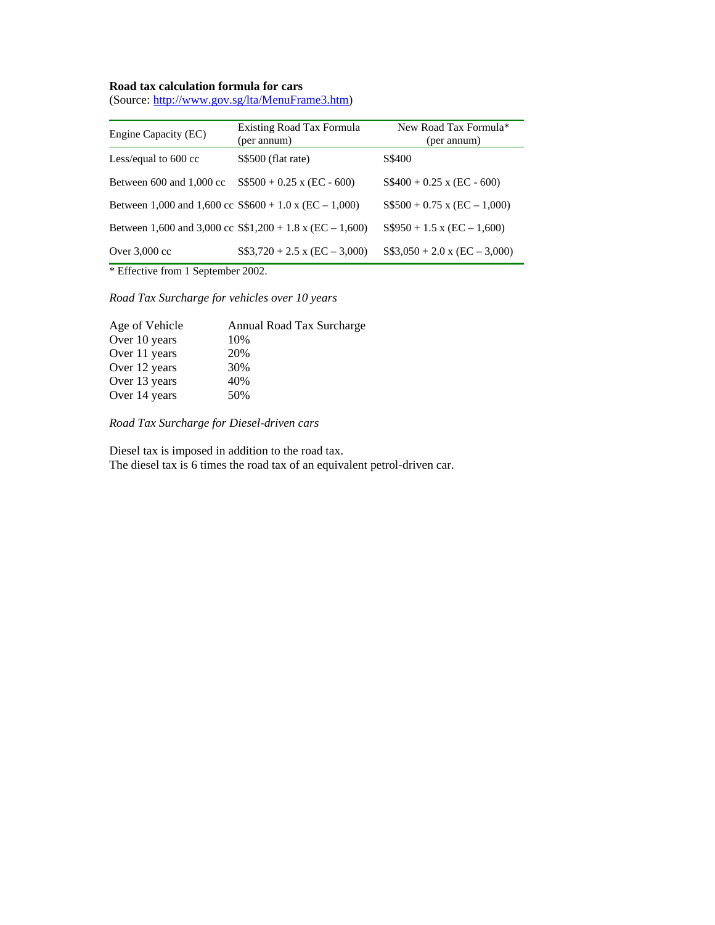# **Road tax calculation formula for cars**

(Source: http://www.gov.sg/lta/MenuFrame3.htm)

| Engine Capacity (EC)                                        | Existing Road Tax Formula<br>(per annum)                   | New Road Tax Formula*<br>(per annum)  |
|-------------------------------------------------------------|------------------------------------------------------------|---------------------------------------|
| Less/equal to 600 cc                                        | S\$500 (flat rate)                                         | S\$400                                |
| Between 600 and 1,000 cc                                    | $S$500 + 0.25$ x (EC - 600)                                | $S\$ 400 + 0.25 x (EC - 600)          |
| Between 1,000 and 1,600 cc $$600 + 1.0 \times (EC - 1,000)$ |                                                            | $S$500 + 0.75$ x (EC - 1,000)         |
|                                                             | Between 1,600 and 3,000 cc $S\$ 1,200 + 1.8 x (EC – 1,600) | $S$950 + 1.5 \text{ x } (EC - 1,600)$ |
| Over $3,000$ cc                                             | $S\$ 3,720 + 2.5 x (EC – 3,000)                            | $S\$3,050 + 2.0$ x (EC - 3,000)       |

\* Effective from 1 September 2002.

*Road Tax Surcharge for vehicles over 10 years* 

| Age of Vehicle | Annual Road Tax Surcharge |
|----------------|---------------------------|
| Over 10 years  | 10%                       |
| Over 11 years  | 20%                       |
| Over 12 years  | 30%                       |
| Over 13 years  | 40%                       |
| Over 14 years  | 50%                       |

*Road Tax Surcharge for Diesel-driven cars* 

Diesel tax is imposed in addition to the road tax. The diesel tax is 6 times the road tax of an equivalent petrol-driven car.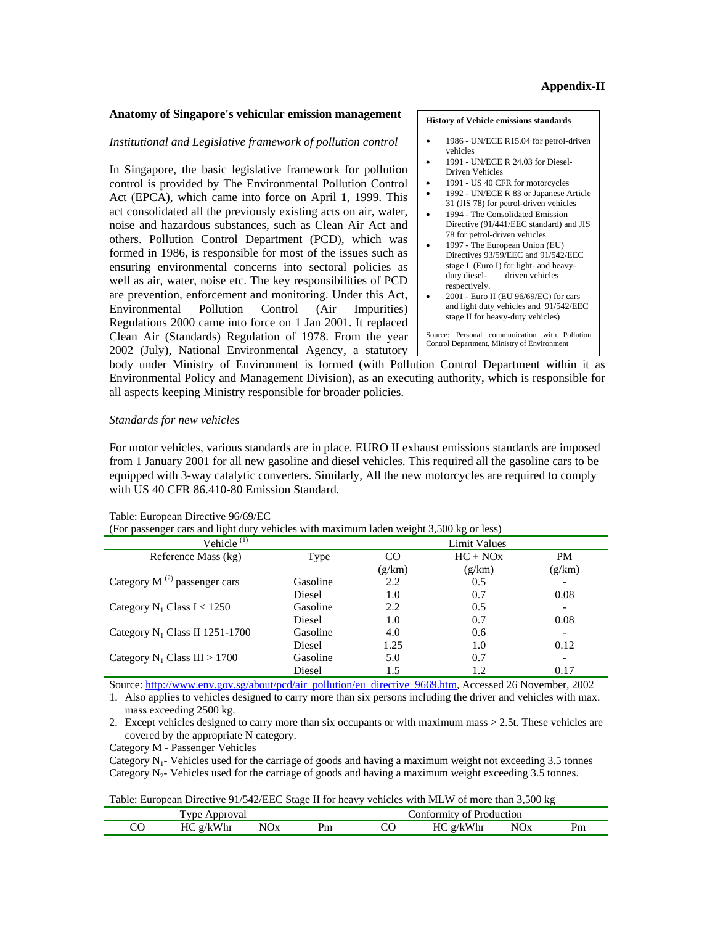#### **Anatomy of Singapore's vehicular emission management**

#### *Institutional and Legislative framework of pollution control*

In Singapore, the basic legislative framework for pollution control is provided by The Environmental Pollution Control Act (EPCA), which came into force on April 1, 1999. This act consolidated all the previously existing acts on air, water, noise and hazardous substances, such as Clean Air Act and others. Pollution Control Department (PCD), which was formed in 1986, is responsible for most of the issues such as ensuring environmental concerns into sectoral policies as well as air, water, noise etc. The key responsibilities of PCD are prevention, enforcement and monitoring. Under this Act, Environmental Pollution Control (Air Impurities) Regulations 2000 came into force on 1 Jan 2001. It replaced Clean Air (Standards) Regulation of 1978. From the year 2002 (July), National Environmental Agency, a statutory

#### **History of Vehicle emissions standards**

- 1986 UN/ECE R15.04 for petrol-driven vehicles
- 1991 UN/ECE R 24.03 for Diesel-Driven Vehicles
- 1991 US 40 CFR for motorcycles
- 1992 UN/ECE R 83 or Japanese Article 31 (JIS 78) for petrol-driven vehicles
- 1994 The Consolidated Emission Directive (91/441/EEC standard) and JIS 78 for petrol-driven vehicles.
- 1997 The European Union (EU) Directives 93/59/EEC and 91/542/EEC stage I (Euro I) for light- and heavy-<br>duty diesel-<br>driven vehicles driven vehicles respectively.
- 2001 Euro II (EU 96/69/EC) for cars and light duty vehicles and 91/542/EEC stage II for heavy-duty vehicles)

Source: Personal communication with Pollution Control Department, Ministry of Environment

body under Ministry of Environment is formed (with Pollution Control Department within it as Environmental Policy and Management Division), as an executing authority, which is responsible for all aspects keeping Ministry responsible for broader policies.

#### *Standards for new vehicles*

For motor vehicles, various standards are in place. EURO II exhaust emissions standards are imposed from 1 January 2001 for all new gasoline and diesel vehicles. This required all the gasoline cars to be equipped with 3-way catalytic converters. Similarly, All the new motorcycles are required to comply with US 40 CFR 86.410-80 Emission Standard.

| (For passenger cars and right duty venicles with maximum raden weight 5,500 kg or less) |          |                     |            |           |  |  |  |  |  |
|-----------------------------------------------------------------------------------------|----------|---------------------|------------|-----------|--|--|--|--|--|
| Vehicle <sup>(1)</sup>                                                                  |          | <b>Limit Values</b> |            |           |  |  |  |  |  |
| Reference Mass (kg)                                                                     | Type     | CO.                 | $HC + NOX$ | <b>PM</b> |  |  |  |  |  |
|                                                                                         |          | (g/km)              | (g/km)     | (g/km)    |  |  |  |  |  |
| Category M $^{(2)}$ passenger cars                                                      | Gasoline | 2.2                 | 0.5        |           |  |  |  |  |  |
|                                                                                         | Diesel   | 1.0                 | 0.7        | 0.08      |  |  |  |  |  |
| Category $N_1$ Class I < 1250                                                           | Gasoline | 2.2                 | 0.5        |           |  |  |  |  |  |
|                                                                                         | Diesel   | 1.0                 | 0.7        | 0.08      |  |  |  |  |  |
| Category $N_1$ Class II 1251-1700                                                       | Gasoline | 4.0                 | 0.6        |           |  |  |  |  |  |
|                                                                                         | Diesel   | 1.25                | 1.0        | 0.12      |  |  |  |  |  |
| Category $N_1$ Class III > 1700                                                         | Gasoline | 5.0                 | 0.7        |           |  |  |  |  |  |
|                                                                                         | Diesel   | 1.5                 | 1.2        | 0.17      |  |  |  |  |  |

#### Table: European Directive 96/69/EC

 $\frac{1}{2}$  for particular vehicles with maximum laden weight  $2,500$  kg or less)

Source: http://www.env.gov.sg/about/pcd/air\_pollution/eu\_directive\_9669.htm, Accessed 26 November, 2002

1. Also applies to vehicles designed to carry more than six persons including the driver and vehicles with max. mass exceeding 2500 kg.

2. Except vehicles designed to carry more than six occupants or with maximum mass > 2.5t. These vehicles are covered by the appropriate N category.

Category M - Passenger Vehicles

Category  $N_1$ - Vehicles used for the carriage of goods and having a maximum weight not exceeding 3.5 tonnes Category  $N_{2}$ - Vehicles used for the carriage of goods and having a maximum weight exceeding 3.5 tonnes.

Table: European Directive 91/542/EEC Stage II for heavy vehicles with MLW of more than 3,500 kg

|          | vne.<br>Approval |            |    | Conformity of Production |                      |                        |    |
|----------|------------------|------------|----|--------------------------|----------------------|------------------------|----|
| UΩ<br>UU | g/kWhr<br>HС     | <b>NOx</b> | Pm | $\cup$                   | g/kWhr<br>HC<br>11 V | <b>NO</b> <sub>x</sub> | Pm |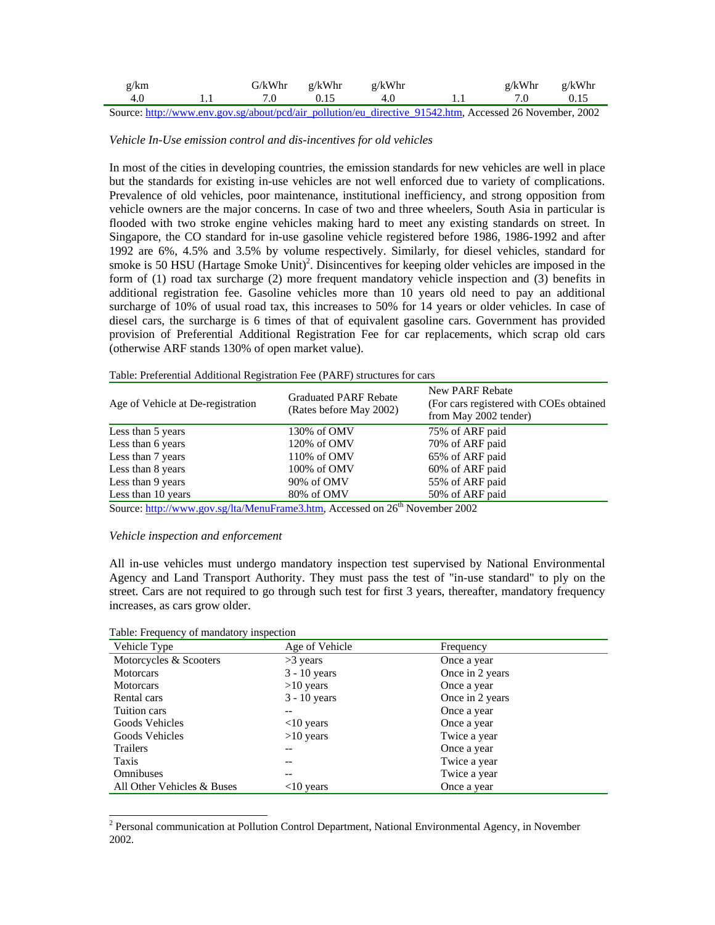| g/km   | G/kWhr | g/kWhr | g/kWhr |                                                                                                                                                                                                                                                                                                                   | g/kWhr | g/kWhr                |
|--------|--------|--------|--------|-------------------------------------------------------------------------------------------------------------------------------------------------------------------------------------------------------------------------------------------------------------------------------------------------------------------|--------|-----------------------|
| 4.0    |        | 0.15   | 4.0    |                                                                                                                                                                                                                                                                                                                   |        | 0.15                  |
| $\sim$ |        |        |        | $\mathcal{L}$ and $\mathcal{L}$ and $\mathcal{L}$ and $\mathcal{L}$ and $\mathcal{L}$ and $\mathcal{L}$ and $\mathcal{L}$ and $\mathcal{L}$ and $\mathcal{L}$ and $\mathcal{L}$ and $\mathcal{L}$ and $\mathcal{L}$ and $\mathcal{L}$ and $\mathcal{L}$ and $\mathcal{L}$ and $\mathcal{L}$ and $\mathcal{L}$ and | 1.023  | $\sim$ 1 $\sim$ 0.000 |

Source: http://www.env.gov.sg/about/pcd/air\_pollution/eu\_directive\_91542.htm, Accessed 26 November, 2002

### *Vehicle In-Use emission control and dis-incentives for old vehicles*

In most of the cities in developing countries, the emission standards for new vehicles are well in place but the standards for existing in-use vehicles are not well enforced due to variety of complications. Prevalence of old vehicles, poor maintenance, institutional inefficiency, and strong opposition from vehicle owners are the major concerns. In case of two and three wheelers, South Asia in particular is flooded with two stroke engine vehicles making hard to meet any existing standards on street. In Singapore, the CO standard for in-use gasoline vehicle registered before 1986, 1986-1992 and after 1992 are 6%, 4.5% and 3.5% by volume respectively. Similarly, for diesel vehicles, standard for smoke is 50 HSU (Hartage Smoke Unit)<sup>2</sup>. Disincentives for keeping older vehicles are imposed in the form of (1) road tax surcharge (2) more frequent mandatory vehicle inspection and (3) benefits in additional registration fee. Gasoline vehicles more than 10 years old need to pay an additional surcharge of 10% of usual road tax, this increases to 50% for 14 years or older vehicles. In case of diesel cars, the surcharge is 6 times of that of equivalent gasoline cars. Government has provided provision of Preferential Additional Registration Fee for car replacements, which scrap old cars (otherwise ARF stands 130% of open market value).

Table: Preferential Additional Registration Fee (PARF) structures for cars

| Age of Vehicle at De-registration | <b>Graduated PARF Rebate</b><br>(Rates before May 2002) | <b>New PARF Rebate</b><br>(For cars registered with COEs obtained<br>from May 2002 tender) |
|-----------------------------------|---------------------------------------------------------|--------------------------------------------------------------------------------------------|
| Less than 5 years                 | 130% of OMV                                             | 75% of ARF paid                                                                            |
| Less than 6 years                 | 120% of OMV                                             | 70% of ARF paid                                                                            |
| Less than 7 years                 | 110% of OMV                                             | 65% of ARF paid                                                                            |
| Less than 8 years                 | 100% of OMV                                             | 60% of ARF paid                                                                            |
| Less than 9 years                 | 90% of OMV                                              | 55% of ARF paid                                                                            |
| Less than 10 years                | 80% of OMV<br>$\overline{4}$                            | 50% of ARF paid                                                                            |

Source: http://www.gov.sg/lta/MenuFrame3.htm, Accessed on 26<sup>th</sup> November 2002

### *Vehicle inspection and enforcement*

All in-use vehicles must undergo mandatory inspection test supervised by National Environmental Agency and Land Transport Authority. They must pass the test of "in-use standard" to ply on the street. Cars are not required to go through such test for first 3 years, thereafter, mandatory frequency increases, as cars grow older.

Table: Frequency of mandatory inspection

l

| 1 acre, 1 requeste, or manually, mopeenon |                |                 |  |  |
|-------------------------------------------|----------------|-----------------|--|--|
| Vehicle Type                              | Age of Vehicle | Frequency       |  |  |
| Motorcycles & Scooters                    | $>3$ years     | Once a year     |  |  |
| <b>Motorcars</b>                          | $3 - 10$ years | Once in 2 years |  |  |
| <b>Motorcars</b>                          | $>10$ years    | Once a year     |  |  |
| Rental cars                               | $3 - 10$ years | Once in 2 years |  |  |
| Tuition cars                              |                | Once a year     |  |  |
| Goods Vehicles                            | $<$ 10 years   | Once a year     |  |  |
| Goods Vehicles                            | $>10$ years    | Twice a year    |  |  |
| <b>Trailers</b>                           |                | Once a year     |  |  |
| Taxis                                     |                | Twice a year    |  |  |
| Omnibuses                                 |                | Twice a year    |  |  |
| All Other Vehicles & Buses                | $<$ 10 years   | Once a year     |  |  |

<sup>2</sup> Personal communication at Pollution Control Department, National Environmental Agency, in November 2002.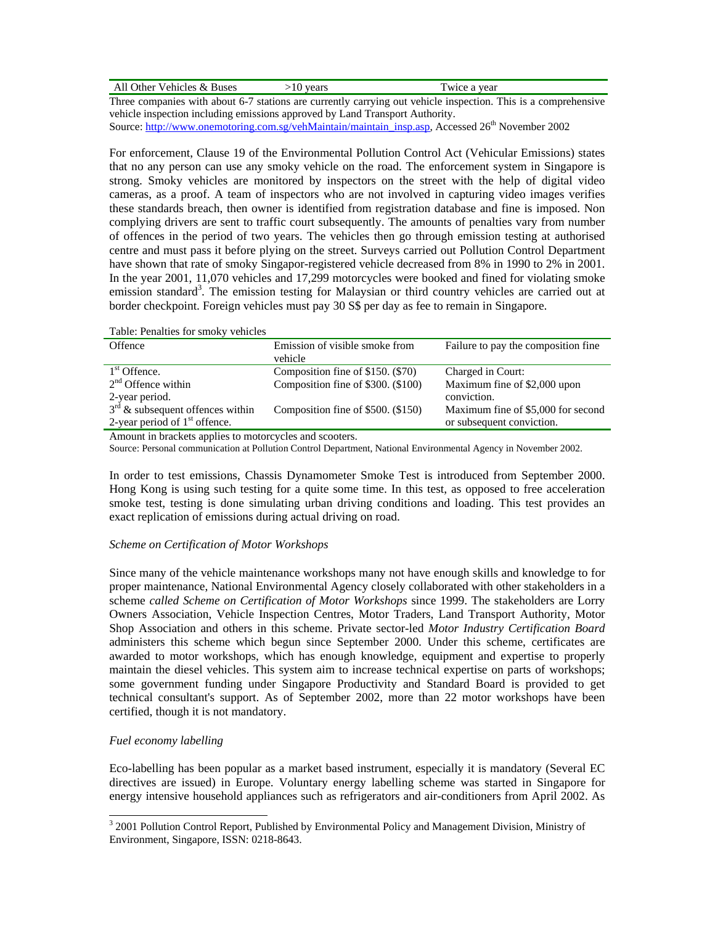| ↑ Vehicles & Buses<br>All Other<br>.<br>____ | vears | a vear<br>$W1C$ $\rho$ |  |
|----------------------------------------------|-------|------------------------|--|
|----------------------------------------------|-------|------------------------|--|

Three companies with about 6-7 stations are currently carrying out vehicle inspection. This is a comprehensive vehicle inspection including emissions approved by Land Transport Authority.

Source: http://www.onemotoring.com.sg/vehMaintain/maintain\_insp.asp, Accessed 26<sup>th</sup> November 2002

For enforcement, Clause 19 of the Environmental Pollution Control Act (Vehicular Emissions) states that no any person can use any smoky vehicle on the road. The enforcement system in Singapore is strong. Smoky vehicles are monitored by inspectors on the street with the help of digital video cameras, as a proof. A team of inspectors who are not involved in capturing video images verifies these standards breach, then owner is identified from registration database and fine is imposed. Non complying drivers are sent to traffic court subsequently. The amounts of penalties vary from number of offences in the period of two years. The vehicles then go through emission testing at authorised centre and must pass it before plying on the street. Surveys carried out Pollution Control Department have shown that rate of smoky Singapor-registered vehicle decreased from 8% in 1990 to 2% in 2001. In the year 2001, 11,070 vehicles and 17,299 motorcycles were booked and fined for violating smoke emission standard<sup>3</sup>. The emission testing for Malaysian or third country vehicles are carried out at border checkpoint. Foreign vehicles must pay 30 S\$ per day as fee to remain in Singapore.

Table: Penalties for smoky vehicles

| Offence                            | Emission of visible smoke from<br>vehicle | Failure to pay the composition fine |
|------------------------------------|-------------------------------------------|-------------------------------------|
| $1st$ Offence.                     | Composition fine of \$150. (\$70)         | Charged in Court:                   |
| $2nd$ Offence within               | Composition fine of \$300. (\$100)        | Maximum fine of \$2,000 upon        |
| 2-year period.                     |                                           | conviction.                         |
| $3rd$ & subsequent offences within | Composition fine of \$500. (\$150)        | Maximum fine of \$5,000 for second  |
| 2-year period of $1st$ offence.    |                                           | or subsequent conviction.           |

Amount in brackets applies to motorcycles and scooters.

Source: Personal communication at Pollution Control Department, National Environmental Agency in November 2002.

In order to test emissions, Chassis Dynamometer Smoke Test is introduced from September 2000. Hong Kong is using such testing for a quite some time. In this test, as opposed to free acceleration smoke test, testing is done simulating urban driving conditions and loading. This test provides an exact replication of emissions during actual driving on road.

# *Scheme on Certification of Motor Workshops*

Since many of the vehicle maintenance workshops many not have enough skills and knowledge to for proper maintenance, National Environmental Agency closely collaborated with other stakeholders in a scheme *called Scheme on Certification of Motor Workshops* since 1999. The stakeholders are Lorry Owners Association, Vehicle Inspection Centres, Motor Traders, Land Transport Authority, Motor Shop Association and others in this scheme. Private sector-led *Motor Industry Certification Board* administers this scheme which begun since September 2000. Under this scheme, certificates are awarded to motor workshops, which has enough knowledge, equipment and expertise to properly maintain the diesel vehicles. This system aim to increase technical expertise on parts of workshops; some government funding under Singapore Productivity and Standard Board is provided to get technical consultant's support. As of September 2002, more than 22 motor workshops have been certified, though it is not mandatory.

# *Fuel economy labelling*

l

Eco-labelling has been popular as a market based instrument, especially it is mandatory (Several EC directives are issued) in Europe. Voluntary energy labelling scheme was started in Singapore for energy intensive household appliances such as refrigerators and air-conditioners from April 2002. As

<sup>&</sup>lt;sup>3</sup> 2001 Pollution Control Report, Published by Environmental Policy and Management Division, Ministry of Environment, Singapore, ISSN: 0218-8643.